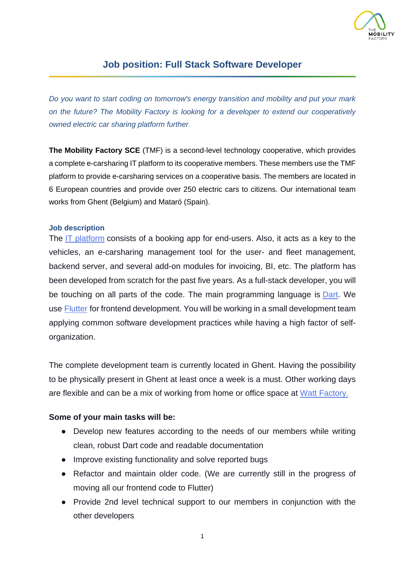

# **Job position: Full Stack Software Developer**

*Do you want to start coding on tomorrow's energy transition and mobility and put your mark on the future? The Mobility Factory is looking for a developer to extend our cooperatively owned electric car sharing platform further.*

**The Mobility Factory SCE** (TMF) is a second-level technology cooperative, which provides a complete e-carsharing IT platform to its cooperative members. These members use the TMF platform to provide e-carsharing services on a cooperative basis. The members are located in 6 European countries and provide over 250 electric cars to citizens. Our international team works from Ghent (Belgium) and Mataró (Spain).

#### **Job description**

The [IT platform](https://docs.themobilityfactory.coop/) consists of a booking app for end-users. Also, it acts as a key to the vehicles, an e-carsharing management tool for the user- and fleet management, backend server, and several add-on modules for invoicing, BI, etc. The platform has been developed from scratch for the past five years. As a full-stack developer, you will be touching on all parts of the code. The main programming language is **Dart**. We use [Flutter](https://flutter.dev/) for frontend development. You will be working in a small development team applying common software development practices while having a high factor of selforganization.

The complete development team is currently located in Ghent. Having the possibility to be physically present in Ghent at least once a week is a must. Other working days are flexible and can be a mix of working from home or office space at [Watt Factory](https://wattfactory.be/).

### **Some of your main tasks will be:**

- Develop new features according to the needs of our members while writing clean, robust Dart code and readable documentation
- Improve existing functionality and solve reported bugs
- Refactor and maintain older code. (We are currently still in the progress of moving all our frontend code to Flutter)
- Provide 2nd level technical support to our members in conjunction with the other developers